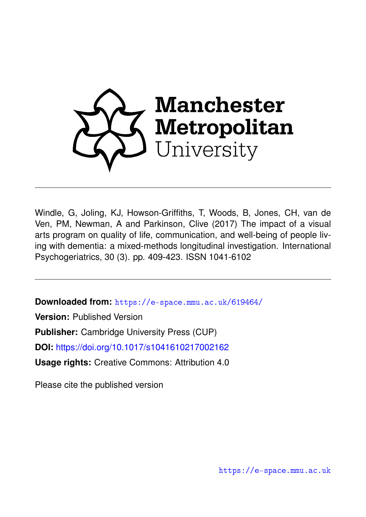

Windle, G, Joling, KJ, Howson-Griffiths, T, Woods, B, Jones, CH, van de Ven, PM, Newman, A and Parkinson, Clive (2017) The impact of a visual arts program on quality of life, communication, and well-being of people living with dementia: a mixed-methods longitudinal investigation. International Psychogeriatrics, 30 (3). pp. 409-423. ISSN 1041-6102

**Downloaded from:** <https://e-space.mmu.ac.uk/619464/>

**Version:** Published Version

**Publisher:** Cambridge University Press (CUP)

**DOI:** <https://doi.org/10.1017/s1041610217002162>

**Usage rights:** Creative Commons: Attribution 4.0

Please cite the published version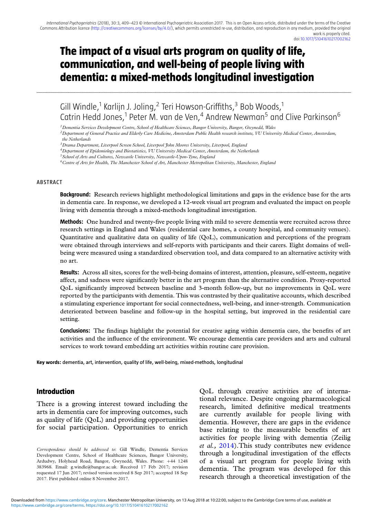# **The impact of a visual arts program on quality of life, communication, and well-being of people living with dementia: a mixed-methods longitudinal investigation**

Gill Windle,<sup>1</sup> Karlijn J. Joling,<sup>2</sup> Teri Howson-Griffiths,<sup>3</sup> Bob Woods,<sup>1</sup> Catrin Hedd Jones,<sup>1</sup> Peter M. van de Ven,<sup>4</sup> Andrew Newman<sup>5</sup> and Clive Parkinson<sup>6</sup>

...........................................................................................................................................................................................................................................................................................................................................................................................................................................................................................................................................................................................................................................

*1Dementia Services Development Centre, School of Healthcare Sciences, Bangor University, Bangor, Gwynedd, Wales 2Department of General Practice and Elderly Care Medicine, Amsterdam Public Health research institute, VU University Medical Center, Amsterdam, the Netherlands*

*3Drama Department, Liverpool Screen School, Liverpool John Moores University, Liverpool, England*

*4Department of Epidemiology and Biostatistics, VU University Medical Center, Amsterdam, the Netherlands*

*6Centre of Arts for Health, The Manchester School of Art, Manchester Metropolitan University, Manchester, England*

#### **ARSTRACT**

**Background:** Research reviews highlight methodological limitations and gaps in the evidence base for the arts in dementia care. In response, we developed a 12-week visual art program and evaluated the impact on people living with dementia through a mixed-methods longitudinal investigation.

**Methods:** One hundred and twenty-five people living with mild to severe dementia were recruited across three research settings in England and Wales (residential care homes, a county hospital, and community venues). Quantitative and qualitative data on quality of life (QoL), communication and perceptions of the program were obtained through interviews and self-reports with participants and their carers. Eight domains of wellbeing were measured using a standardized observation tool, and data compared to an alternative activity with no art.

**Results:** Across all sites, scores for the well-being domains of interest, attention, pleasure, self-esteem, negative affect, and sadness were significantly better in the art program than the alternative condition. Proxy-reported QoL significantly improved between baseline and 3-month follow-up, but no improvements in QoL were reported by the participants with dementia. This was contrasted by their qualitative accounts, which described a stimulating experience important for social connectedness, well-being, and inner-strength. Communication deteriorated between baseline and follow-up in the hospital setting, but improved in the residential care setting.

**Conclusions:** The findings highlight the potential for creative aging within dementia care, the benefits of art activities and the influence of the environment. We encourage dementia care providers and arts and cultural services to work toward embedding art activities within routine care provision.

**Key words:** dementia, art, intervention, quality of life, well-being, mixed-methods, longitudinal

#### **Introduction**

There is a growing interest toward including the arts in dementia care for improving outcomes, such as quality of life (QoL) and providing opportunities for social participation. Opportunities to enrich

*Correspondence should be addressed to*: Gill Windle, Dementia Services Development Centre, School of Healthcare Sciences, Bangor University, Ardudwy, Holyhead Road, Bangor, Gwynedd, Wales. Phone: +44 1248 383968. Email: g.windle@bangor.ac.uk. Received 17 Feb 2017; revision requested 17 Jun 2017; revised version received 8 Sep 2017; accepted 18 Sep 2017. First published online 8 November 2017.

QoL through creative activities are of international relevance. Despite ongoing pharmacological research, limited definitive medical treatments are currently available for people living with dementia. However, there are gaps in the evidence base relating to the measurable benefits of art activities for people living with dementia (Zeilig *et al.,* [2014\)](#page-15-0).This study contributes new evidence through a longitudinal investigation of the effects of a visual art program for people living with dementia. The program was developed for this research through a theoretical investigation of the

*<sup>5</sup>School of Arts and Cultures, Newcastle University, Newcastle-Upon-Tyne, England*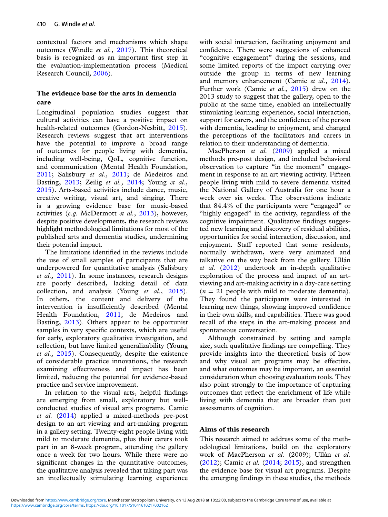contextual factors and mechanisms which shape outcomes (Windle *et al.,* [2017\)](#page-15-0). This theoretical basis is recognized as an important first step in the evaluation-implementation process (Medical Research Council, [2006\)](#page-14-0).

# **The evidence base for the arts in dementia care**

Longitudinal population studies suggest that cultural activities can have a positive impact on health-related outcomes (Gordon-Nesbitt, [2015\)](#page-14-0). Research reviews suggest that art interventions have the potential to improve a broad range of outcomes for people living with dementia, including well-being, QoL, cognitive function, and communication (Mental Health Foundation, [2011;](#page-14-0) Salisbury *et al.,* [2011;](#page-15-0) de Medeiros and Basting, [2013;](#page-14-0) Zeilig *et al.,* [2014;](#page-15-0) Young *et al.,* [2015\)](#page-15-0). Arts-based activities include dance, music, creative writing, visual art, and singing. There is a growing evidence base for music-based activities (*e.g.* McDermott *et al.,* [2013\)](#page-14-0), however, despite positive developments, the research reviews highlight methodological limitations for most of the published arts and dementia studies, undermining their potential impact.

The limitations identified in the reviews include the use of small samples of participants that are underpowered for quantitative analysis (Salisbury *et al.,* [2011\)](#page-15-0). In some instances, research designs are poorly described, lacking detail of data collection, and analysis (Young *et al.,* [2015\)](#page-15-0). In others, the content and delivery of the intervention is insufficiently described (Mental Health Foundation, [2011;](#page-14-0) de Medeiros and Basting, [2013\)](#page-14-0). Others appear to be opportunist samples in very specific contexts, which are useful for early, exploratory qualitative investigation, and reflection, but have limited generalizability (Young *et al.,* [2015\)](#page-15-0). Consequently, despite the existence of considerable practice innovations, the research examining effectiveness and impact has been limited, reducing the potential for evidence-based practice and service improvement.

In relation to the visual arts, helpful findings are emerging from small, exploratory but wellconducted studies of visual arts programs. Camic *et al.* [\(2014\)](#page-14-0) applied a mixed-methods pre-post design to an art viewing and art-making program in a gallery setting. Twenty-eight people living with mild to moderate dementia, plus their carers took part in an 8-week program, attending the gallery once a week for two hours. While there were no significant changes in the quantitative outcomes, the qualitative analysis revealed that taking part was an intellectually stimulating learning experience with social interaction, facilitating enjoyment and confidence. There were suggestions of enhanced "cognitive engagement" during the sessions, and some limited reports of the impact carrying over outside the group in terms of new learning and memory enhancement (Camic *et al.,* [2014\)](#page-14-0). Further work (Camic *et al.,* [2015\)](#page-14-0) drew on the 2013 study to suggest that the gallery, open to the public at the same time, enabled an intellectually stimulating learning experience, social interaction, support for carers, and the confidence of the person with dementia, leading to enjoyment, and changed the perceptions of the facilitators and carers in relation to their understanding of dementia.

MacPherson *et al.* [\(2009\)](#page-14-0) applied a mixed methods pre-post design, and included behavioral observation to capture "in the moment" engagement in response to an art viewing activity. Fifteen people living with mild to severe dementia visited the National Gallery of Australia for one hour a week over six weeks. The observations indicate that 84.4% of the participants were "engaged" or "highly engaged" in the activity, regardless of the cognitive impairment. Qualitative findings suggested new learning and discovery of residual abilities, opportunities for social interaction, discussion, and enjoyment. Staff reported that some residents, normally withdrawn, were very animated and talkative on the way back from the gallery. Ullán *et al.* [\(2012\)](#page-15-0) undertook an in-depth qualitative exploration of the process and impact of an artviewing and art-making activity in a day-care setting  $(n = 21)$  people with mild to moderate dementia). They found the participants were interested in learning new things, showing improved confidence in their own skills, and capabilities. There was good recall of the steps in the art-making process and spontaneous conversation.

Although constrained by setting and sample size, such qualitative findings are compelling. They provide insights into the theoretical basis of how and why visual art programs may be effective, and what outcomes may be important, an essential consideration when choosing evaluation tools. They also point strongly to the importance of capturing outcomes that reflect the enrichment of life while living with dementia that are broader than just assessments of cognition.

## **Aims of this research**

This research aimed to address some of the methodological limitations, build on the exploratory work of MacPherson *et al.* (2009); Ullán *et al.* [\(2012\)](#page-15-0); Camic *et al.* [\(2014;](#page-14-0) [2015\)](#page-14-0), and strengthen the evidence base for visual art programs. Despite the emerging findings in these studies, the methods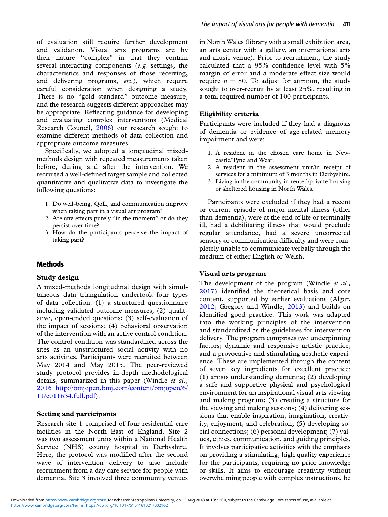of evaluation still require further development and validation. Visual arts programs are by their nature "complex" in that they contain several interacting components (*e.g.* settings, the characteristics and responses of those receiving, and delivering programs, *etc*.), which require careful consideration when designing a study. There is no "gold standard" outcome measure, and the research suggests different approaches may be appropriate. Reflecting guidance for developing and evaluating complex interventions (Medical Research Council, [2006\)](#page-14-0) our research sought to examine different methods of data collection and appropriate outcome measures.

Specifically, we adopted a longitudinal mixedmethods design with repeated measurements taken before, during and after the intervention. We recruited a well-defined target sample and collected quantitative and qualitative data to investigate the following questions:

- 1. Do well-being, QoL, and communication improve when taking part in a visual art program?
- 2. Are any effects purely "in the moment" or do they persist over time?
- 3. How do the participants perceive the impact of taking part?

## **Methods**

#### **Study design**

A mixed-methods longitudinal design with simultaneous data triangulation undertook four types of data collection. (1) a structured questionnaire including validated outcome measures; (2) qualitative, open-ended questions; (3) self-evaluation of the impact of sessions; (4) behavioral observation of the intervention with an active control condition. The control condition was standardized across the sites as an unstructured social activity with no arts activities. Participants were recruited between May 2014 and May 2015. The peer-reviewed study protocol provides in-depth methodological details, summarized in this paper (Windle *et al.,* [2016](#page-15-0) [http://bmjopen.bmj.com/content/bmjopen/6/](http://bmjopen.bmj.com/content/bmjopen/6/11/e011634.full.pdf) 11/e011634.full.pdf).

#### **Setting and participants**

Research site 1 comprised of four residential care facilities in the North East of England. Site 2 was two assessment units within a National Health Service (NHS) county hospital in Derbyshire. Here, the protocol was modified after the second wave of intervention delivery to also include recruitment from a day care service for people with dementia. Site 3 involved three community venues in North Wales (library with a small exhibition area, an arts center with a gallery, an international arts and music venue). Prior to recruitment, the study calculated that a 95% confidence level with 5% margin of error and a moderate effect size would require  $n = 80$ . To adjust for attrition, the study sought to over-recruit by at least 25%, resulting in a total required number of 100 participants.

#### **Eligibility criteria**

Participants were included if they had a diagnosis of dementia or evidence of age-related memory impairment and were:

- 1. A resident in the chosen care home in Newcastle/Tyne and Wear.
- 2. A resident in the assessment unit/in receipt of services for a minimum of 3 months in Derbyshire.
- 3. Living in the community in rented/private housing or sheltered housing in North Wales.

Participants were excluded if they had a recent or current episode of major mental illness (other than dementia), were at the end of life or terminally ill, had a debilitating illness that would preclude regular attendance, had a severe uncorrected sensory or communication difficulty and were completely unable to communicate verbally through the medium of either English or Welsh.

#### **Visual arts program**

The development of the program (Windle *et al.,* [2017\)](#page-15-0) identified the theoretical basis and core content, supported by earlier evaluations (Algar, [2012;](#page-14-0) Gregory and Windle, [2013\)](#page-14-0) and builds on identified good practice. This work was adapted into the working principles of the intervention and standardized as the guidelines for intervention delivery. The program comprises two underpinning factors; dynamic and responsive artistic practice, and a provocative and stimulating aesthetic experience. These are implemented through the content of seven key ingredients for excellent practice: (1) artists understanding dementia; (2) developing a safe and supportive physical and psychological environment for an inspirational visual arts viewing and making program; (3) creating a structure for the viewing and making sessions; (4) delivering sessions that enable inspiration, imagination, creativity, enjoyment, and celebration; (5) developing social connections; (6) personal development; (7) values, ethics, communication, and guiding principles. It involves participative activities with the emphasis on providing a stimulating, high quality experience for the participants, requiring no prior knowledge or skills. It aims to encourage creativity without overwhelming people with complex instructions, be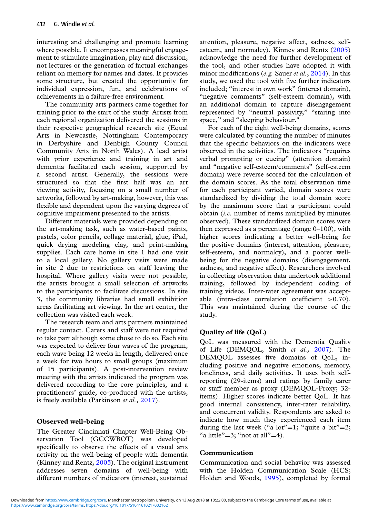interesting and challenging and promote learning where possible. It encompasses meaningful engagement to stimulate imagination, play and discussion, not lectures or the generation of factual exchanges reliant on memory for names and dates. It provides some structure, but created the opportunity for individual expression, fun, and celebrations of achievements in a failure-free environment.

The community arts partners came together for training prior to the start of the study. Artists from each regional organization delivered the sessions in their respective geographical research site (Equal Arts in Newcastle, Nottingham Contemporary in Derbyshire and Denbigh County Council Community Arts in North Wales). A lead artist with prior experience and training in art and dementia facilitated each session, supported by a second artist. Generally, the sessions were structured so that the first half was an art viewing activity, focusing on a small number of artworks, followed by art-making, however, this was flexible and dependent upon the varying degrees of cognitive impairment presented to the artists.

Different materials were provided depending on the art-making task, such as water-based paints, pastels, color pencils, collage material, glue, iPad, quick drying modeling clay, and print-making supplies. Each care home in site 1 had one visit to a local gallery. No gallery visits were made in site 2 due to restrictions on staff leaving the hospital. Where gallery visits were not possible, the artists brought a small selection of artworks to the participants to facilitate discussions. In site 3, the community libraries had small exhibition areas facilitating art viewing. In the art center, the collection was visited each week.

The research team and arts partners maintained regular contact. Carers and staff were not required to take part although some chose to do so. Each site was expected to deliver four waves of the program, each wave being 12 weeks in length, delivered once a week for two hours to small groups (maximum of 15 participants). A post-intervention review meeting with the artists indicated the program was delivered according to the core principles, and a practitioners' guide, co-produced with the artists, is freely available (Parkinson *et al.,* [2017\)](#page-15-0).

# **Observed well-being**

The Greater Cincinnati Chapter Well-Being Observation Tool (GCCWBOT) was developed specifically to observe the effects of a visual arts activity on the well-being of people with dementia (Kinney and Rentz, [2005\)](#page-14-0). The original instrument addresses seven domains of well-being with different numbers of indicators (interest, sustained

attention, pleasure, negative affect, sadness, selfesteem, and normalcy). Kinney and Rentz [\(2005\)](#page-14-0) acknowledge the need for further development of the tool, and other studies have adopted it with minor modifications (*e.g.* Sauer *et al.*, [2014\)](#page-15-0). In this study, we used the tool with five further indicators included; "interest in own work" (interest domain), "negative comments" (self-esteem domain), with an additional domain to capture disengagement represented by "neutral passivity," "staring into space," and "sleeping behaviour."

For each of the eight well-being domains, scores were calculated by counting the number of minutes that the specific behaviors on the indicators were observed in the activities. The indicators "requires verbal prompting or cueing" (attention domain) and "negative self-esteem/comments" (self-esteem domain) were reverse scored for the calculation of the domain scores. As the total observation time for each participant varied, domain scores were standardized by dividing the total domain score by the maximum score that a participant could obtain (*i.e.* number of items multiplied by minutes observed). These standardized domain scores were then expressed as a percentage (range  $0-100$ ), with higher scores indicating a better well-being for the positive domains (interest, attention, pleasure, self-esteem, and normalcy), and a poorer wellbeing for the negative domains (disengagement, sadness, and negative affect). Researchers involved in collecting observation data undertook additional training, followed by independent coding of training videos. Inter-rater agreement was acceptable (intra-class correlation coefficient  $>0.70$ ). This was maintained during the course of the study.

# **Quality of life (QoL)**

QoL was measured with the Dementia Quality of Life (DEMQOL, Smith *et al.,* [2007\)](#page-15-0). The DEMQOL assesses five domains of QoL, including positive and negative emotions, memory, loneliness, and daily activities. It uses both selfreporting (29-items) and ratings by family carer or staff member as proxy (DEMQOL-Proxy; 32 items). Higher scores indicate better QoL. It has good internal consistency, inter-rater reliability, and concurrent validity. Respondents are asked to indicate how much they experienced each item during the last week ("a lot"=1; "quite a bit"=2; "a little"=3; "not at all"=4).

## **Communication**

Communication and social behavior was assessed with the Holden Communication Scale (HCS; Holden and Woods, [1995\)](#page-14-0), completed by formal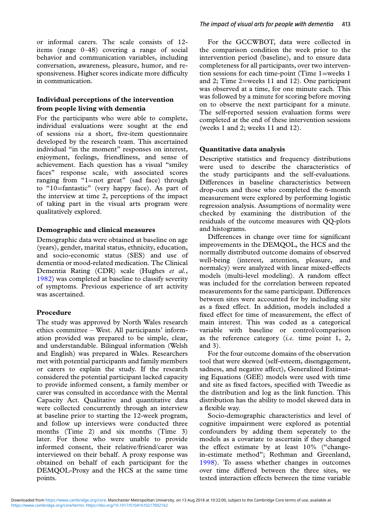or informal carers. The scale consists of 12 items (range 0–48) covering a range of social behavior and communication variables, including conversation, awareness, pleasure, humor, and responsiveness. Higher scores indicate more difficulty in communication.

# **Individual perceptions of the intervention from people living with dementia**

For the participants who were able to complete, individual evaluations were sought at the end of sessions *via* a short, five-item questionnaire developed by the research team. This ascertained individual "in the moment" responses on interest, enjoyment, feelings, friendliness, and sense of achievement. Each question has a visual "smiley faces" response scale, with associated scores ranging from "1=not great" (sad face) through to "10=fantastic" (very happy face). As part of the interview at time 2, perceptions of the impact of taking part in the visual arts program were qualitatively explored.

## **Demographic and clinical measures**

Demographic data were obtained at baseline on age (years), gender, marital status, ethnicity, education, and socio-economic status (SES) and use of dementia or mood-related medication. The Clinical Dementia Rating (CDR) scale (Hughes *et al.*, [1982\)](#page-14-0) was completed at baseline to classify severity of symptoms. Previous experience of art activity was ascertained.

# **Procedure**

The study was approved by North Wales research ethics committee – West. All participants' information provided was prepared to be simple, clear, and understandable. Bilingual information (Welsh and English) was prepared in Wales. Researchers met with potential participants and family members or carers to explain the study. If the research considered the potential participant lacked capacity to provide informed consent, a family member or carer was consulted in accordance with the Mental Capacity Act. Qualitative and quantitative data were collected concurrently through an interview at baseline prior to starting the 12-week program, and follow up interviews were conducted three months (Time 2) and six months (Time 3) later. For those who were unable to provide informed consent, their relative/friend/carer was interviewed on their behalf. A proxy response was obtained on behalf of each participant for the DEMQOL-Proxy and the HCS at the same time points.

For the GCCWBOT, data were collected in the comparison condition the week prior to the intervention period (baseline), and to ensure data completeness for all participants, over two intervention sessions for each time-point (Time 1=weeks 1 and 2; Time 2=weeks 11 and 12). One participant was observed at a time, for one minute each. This was followed by a minute for scoring before moving on to observe the next participant for a minute. The self-reported session evaluation forms were completed at the end of these intervention sessions (weeks 1 and 2; weeks 11 and 12).

# **Quantitative data analysis**

Descriptive statistics and frequency distributions were used to describe the characteristics of the study participants and the self-evaluations. Differences in baseline characteristics between drop-outs and those who completed the 6-month measurement were explored by performing logistic regression analysis. Assumptions of normality were checked by examining the distribution of the residuals of the outcome measures with QQ-plots and histograms.

Differences in change over time for significant improvements in the DEMQOL, the HCS and the normally distributed outcome domains of observed well-being (interest, attention, pleasure, and normalcy) were analyzed with linear mixed-effects models (multi-level modeling). A random effect was included for the correlation between repeated measurements for the same participant. Differences between sites were accounted for by including site as a fixed effect. In addition, models included a fixed effect for time of measurement, the effect of main interest. This was coded as a categorical variable with baseline or control/comparison as the reference category (*i.e.* time point 1, 2, and 3).

For the four outcome domains of the observation tool that were skewed (self-esteem, disengagement, sadness, and negative affect), Generalized Estimating Equations (GEE) models were used with time and site as fixed factors, specified with Tweedie as the distribution and log as the link function. This distribution has the ability to model skewed data in a flexible way.

Socio-demographic characteristics and level of cognitive impairment were explored as potential confounders by adding them seperately to the models as a covariate to ascertain if they changed the effect estimate by at least 10% ("changein-estimate method"; Rothman and Greenland, [1998\)](#page-15-0). To assess whether changes in outcomes over time differed between the three sites, we tested interaction effects between the time variable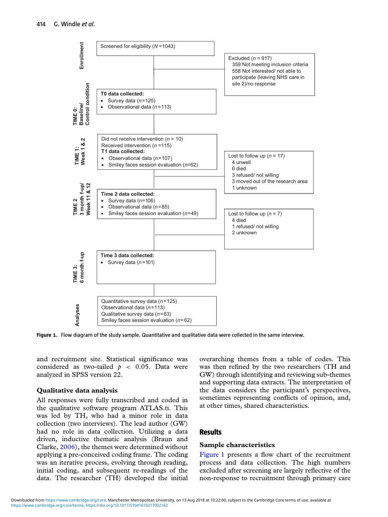

**Figure 1.** Flow diagram of the study sample. Quantitative and qualitative data were collected in the same interview.

and recruitment site. Statistical significance was considered as two-tailed  $p < 0.05$ . Data were analyzed in SPSS version 22.

#### **Qualitative data analysis**

All responses were fully transcribed and coded in the qualitative software program ATLAS.ti. This was led by TH, who had a minor role in data collection (two interviews). The lead author (GW) had no role in data collection. Utilizing a data driven, inductive thematic analysis (Braun and Clarke, [2006\)](#page-14-0), the themes were determined without applying a pre-conceived coding frame. The coding was an iterative process, evolving through reading, initial coding, and subsequent re-readings of the data. The researcher (TH) developed the initial overarching themes from a table of codes. This was then refined by the two researchers (TH and GW) through identifying and reviewing sub-themes and supporting data extracts. The interpretation of the data considers the participant's perspectives, sometimes representing conflicts of opinion, and, at other times, shared characteristics.

#### **Results**

#### **Sample characteristics**

Figure 1 presents a flow chart of the recruitment process and data collection. The high numbers excluded after screening are largely reflective of the non-response to recruitment through primary care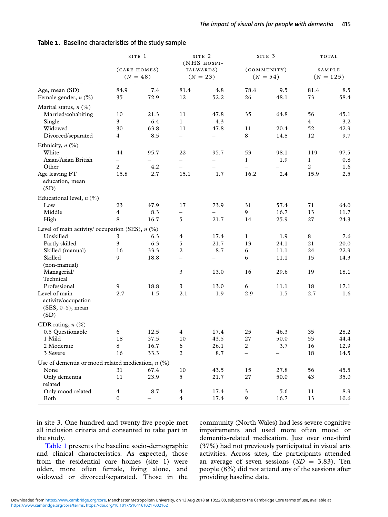|                                                     | SITE 1         |                            |                          | SITE <sub>2</sub><br>(NHS HOSPI- |                          | SITE <sub>3</sub>         | TOTAL<br>SAMPLE<br>$(N = 125)$ |      |  |
|-----------------------------------------------------|----------------|----------------------------|--------------------------|----------------------------------|--------------------------|---------------------------|--------------------------------|------|--|
|                                                     |                | (CARE HOMES)<br>$(N = 48)$ |                          | TALWARDS)<br>$(N = 23)$          |                          | (commutary)<br>$(N = 54)$ |                                |      |  |
| Age, mean (SD)                                      | 84.9           | 7.4                        | 81.4                     | 4.8                              | 78.4                     | 9.5                       | 81.4                           | 8.5  |  |
| Female gender, $n$ (%)                              | 35             | 72.9                       | 12                       | 52.2                             | 26                       | 48.1                      | 73                             | 58.4 |  |
| Marital status, $n$ (%)                             |                |                            |                          |                                  |                          |                           |                                |      |  |
| Married/cohabiting                                  | 10             | 21.3                       | 11                       | 47.8                             | 35                       | 64.8                      | 56                             | 45.1 |  |
| Single                                              | $\mathbf{3}$   | 6.4                        | $\mathbf{1}$             | 4.3                              | $\overline{\phantom{0}}$ | $\overline{\phantom{0}}$  | $\overline{4}$                 | 3.2  |  |
| Widowed                                             | 30             | 63.8                       | 11                       | 47.8                             | 11                       | 20.4                      | 52                             | 42.9 |  |
| Divorced/separated                                  | 4              | 8.5                        | $\overline{\phantom{0}}$ | $\overline{\phantom{0}}$         | $\,8\,$                  | 14.8                      | 12                             | 9.7  |  |
| Ethnicity, $n$ (%)                                  |                |                            |                          |                                  |                          |                           |                                |      |  |
| White                                               | 44             | 95.7                       | 22                       | 95.7                             | 53                       | 98.1                      | 119                            | 97.5 |  |
| Asian/Asian British                                 |                |                            |                          |                                  | $\mathbf{1}$             | 1.9                       | $\mathbf{1}$                   | 0.8  |  |
| Other                                               | $\overline{c}$ | 4.2                        |                          |                                  |                          |                           | $\overline{c}$                 | 1.6  |  |
| Age leaving FT                                      | 15.8           | 2.7                        | 15.1                     | 1.7                              | 16.2                     | 2.4                       | 15.9                           | 2.5  |  |
| education, mean<br>(SD)                             |                |                            |                          |                                  |                          |                           |                                |      |  |
| Educational level, $n$ (%)                          |                |                            |                          |                                  |                          |                           |                                |      |  |
| Low                                                 | 23             | 47.9                       | 17                       | 73.9                             | 31                       | 57.4                      | 71                             | 64.0 |  |
| Middle                                              | $\overline{4}$ | 8.3                        |                          |                                  | 9                        | 16.7                      | 13                             | 11.7 |  |
| High                                                | 8              | 16.7                       | 5                        | 21.7                             | 14                       | 25.9                      | 27                             | 24.3 |  |
| Level of main activity/ occupation (SES), $n$ (%)   |                |                            |                          |                                  |                          |                           |                                |      |  |
| Unskilled                                           | 3              | 6.3                        | $\overline{\mathbf{4}}$  | 17.4                             | $\mathbf{1}$             | 1.9                       | 8                              | 7.6  |  |
| Partly skilled                                      | 3              | 6.3                        | 5                        | 21.7                             | 13                       | 24.1                      | 21                             | 20.0 |  |
| Skilled (manual)                                    | 16             | 33.3                       | 2                        | 8.7                              | 6                        | 11.1                      | 24                             | 22.9 |  |
| Skilled                                             | 9              | 18.8                       | $\overline{\phantom{0}}$ |                                  | 6                        | 11.1                      | 15                             | 14.3 |  |
| (non-manual)                                        |                |                            |                          |                                  |                          |                           |                                |      |  |
| Managerial/                                         |                |                            | 3                        | 13.0                             | 16                       | 29.6                      | 19                             | 18.1 |  |
| Technical                                           |                |                            |                          |                                  |                          |                           |                                |      |  |
| Professional                                        | 9              | 18.8                       | 3                        | 13.0                             | 6                        | 11.1                      | 18                             | 17.1 |  |
| Level of main                                       | 2.7            | 1.5                        | 2.1                      | 1.9                              | 2.9                      | 1.5                       | 2.7                            | 1.6  |  |
| activity/occupation                                 |                |                            |                          |                                  |                          |                           |                                |      |  |
| $(SES, 0-5)$ , mean                                 |                |                            |                          |                                  |                          |                           |                                |      |  |
| (SD)                                                |                |                            |                          |                                  |                          |                           |                                |      |  |
| CDR rating, $n$ (%)                                 |                |                            |                          |                                  |                          |                           |                                |      |  |
| 0.5 Questionable                                    | 6              | 12.5                       | 4                        | 17.4                             | 25                       | 46.3                      | 35                             | 28.2 |  |
| 1 Mild                                              | 18             | 37.5                       | 10                       | 43.5                             | $\sqrt{27}$              | 50.0                      | 55                             | 44.4 |  |
| 2 Moderate                                          | 8              | 16.7                       | 6                        | 26.1                             | 2                        | 3.7                       | 16                             | 12.9 |  |
| 3 Severe                                            | 16             | 33.3                       | 2                        | 8.7                              |                          |                           | 18                             | 14.5 |  |
| Use of dementia or mood related medication, $n$ (%) |                |                            |                          |                                  |                          |                           |                                |      |  |
| None                                                | 31             | 67.4                       | 10                       | 43.5                             | 15                       | 27.8                      | 56                             | 45.5 |  |
| Only dementia                                       | 11             | 23.9                       | 5                        | 21.7                             | 27                       | 50.0                      | 43                             | 35.0 |  |
| related                                             |                |                            |                          |                                  |                          |                           |                                |      |  |
| Only mood related                                   | 4              | 8.7                        | 4                        | 17.4                             | $\mathfrak{Z}$           | 5.6                       | 11                             | 8.9  |  |
| Both                                                | $\mathbf{0}$   | $\overline{\phantom{0}}$   | 4                        | 17.4                             | 9                        | 16.7                      | 13                             | 10.6 |  |

#### **Table 1.** Baseline characteristics of the study sample

in site 3. One hundred and twenty five people met all inclusion criteria and consented to take part in the study.

Table 1 presents the baseline socio-demographic and clinical characteristics. As expected, those from the residential care homes (site 1) were older, more often female, living alone, and widowed or divorced/separated. Those in the

community (North Wales) had less severe cognitive impairements and used more often mood or dementia-related medication. Just over one-third (37%) had not previously participated in visual arts activities. Across sites, the participants attended an average of seven sessions  $(SD = 3.83)$ . Ten people (8%) did not attend any of the sessions after providing baseline data.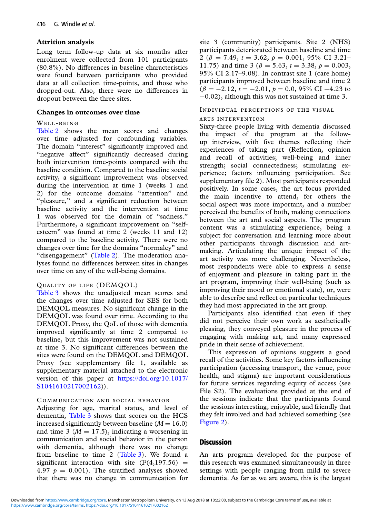## **Attrition analysis**

Long term follow-up data at six months after enrolment were collected from 101 participants (80.8%). No differences in baseline characteristics were found between participants who provided data at all collection time-points, and those who dropped-out. Also, there were no differences in dropout between the three sites.

#### **Changes in outcomes over time**

#### WELL-BEING

[Table 2](#page-9-0) shows the mean scores and changes over time adjusted for confounding variables. The domain "interest" significantly improved and "negative affect" significantly decreased during both intervention time-points compared with the baseline condition. Compared to the baseline social activity, a significant improvement was observed during the intervention at time 1 (weeks 1 and 2) for the outcome domains "attention" and "pleasure," and a significant reduction between baseline activity and the intervention at time 1 was observed for the domain of "sadness." Furthermore, a significant improvement on "selfesteem" was found at time 2 (weeks 11 and 12) compared to the baseline activity. There were no changes over time for the domains "normalcy" and "disengagement" [\(Table 2\)](#page-9-0). The moderation analyses found no differences between sites in changes over time on any of the well-being domains.

## Quality of life (DEMQOL)

[Table 3](#page-10-0) shows the unadjusted mean scores and the changes over time adjusted for SES for both DEMQOL measures. No significant change in the DEMQOL was found over time. According to the DEMQOL Proxy, the QoL of those with dementia improved significantly at time 2 compared to baseline, but this improvement was not sustained at time 3. No significant differences between the sites were found on the DEMQOL and DEMQOL Proxy (see supplementary file 1, available as supplementary material attached to the electronic [version of this paper at](https://doi.org/10.1017/S1041610217002162) https://doi.org/10.1017/ S1041610217002162)).

## Communication and social behavior

Adjusting for age, marital status, and level of dementia, [Table 3](#page-10-0) shows that scores on the HCS increased significantly between baseline  $(M = 16.0)$ and time 3 ( $M = 17.5$ ), indicating a worsening in communication and social behavior in the person with dementia, although there was no change from baseline to time 2 [\(Table 3\)](#page-10-0). We found a significant interaction with site  $(F(4,197.56)$  = 4.97  $p = 0.001$ . The stratified analyses showed that there was no change in communication for site 3 (community) participants. Site 2 (NHS) participants deteriorated between baseline and time 2 ( $\beta$  = 7.49,  $t = 3.62$ ,  $\rho = 0.001$ , 95% CI 3.21– 11.75) and time 3 ( $\beta = 5.63$ ,  $t = 3.38$ ,  $p = 0.003$ , 95% CI 2.17–9.08). In contrast site 1 (care home) participants improved between baseline and time 2  $(\beta = -2.12, t = -2.01, \rho = 0.0, 95\% \text{ CI} - 4.23 \text{ to}$  $-0.02$ ), although this was not sustained at time 3.

#### Individual perceptions of the visual

#### arts intervention

Sixty-three people living with dementia discussed the impact of the program at the followup interview, with five themes reflecting their experiences of taking part (Reflection, opinion and recall of activities; well-being and inner strength; social connectedness; stimulating experience; factors influencing participation. See supplementary file 2). Most participants responded positively. In some cases, the art focus provided the main incentive to attend, for others the social aspect was more important, and a number perceived the benefits of both, making connections between the art and social aspects. The program content was a stimulating experience, being a subject for conversation and learning more about other participants through discussion and artmaking. Articulating the unique impact of the art activity was more challenging. Nevertheless, most respondents were able to express a sense of enjoyment and pleasure in taking part in the art program, improving their well-being (such as improving their mood or emotional state), or, were able to describe and reflect on particular techniques they had most appreciated in the art group.

Participants also identified that even if they did not perceive their own work as aesthetically pleasing, they conveyed pleasure in the process of engaging with making art, and many expressed pride in their sense of achievement.

This expression of opinions suggests a good recall of the activities. Some key factors influencing participation (accessing transport, the venue, poor health, and stigma) are important considerations for future services regarding equity of access (see File S2). The evaluations provided at the end of the sessions indicate that the participants found the sessions interesting, enjoyable, and friendly that they felt involved and had achieved something (see [Figure 2\)](#page-11-0).

# **Discussion**

An arts program developed for the purpose of this research was examined simultaneously in three settings with people ranging from mild to severe dementia. As far as we are aware, this is the largest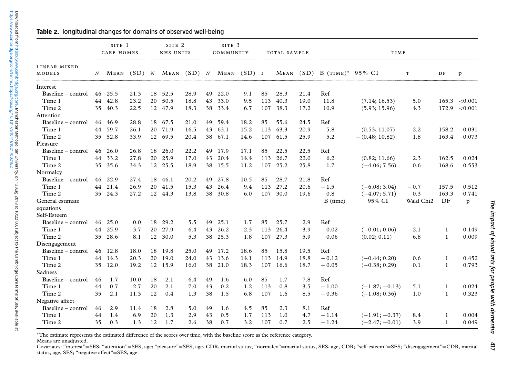#### <span id="page-9-0"></span>**Table 2.** longitudinal changes for domains of observed well-being

|                        |                  | SITE 1<br>CARE HOMES |      |    | SITE <sub>2</sub><br>NHS UNITS |      |    | SITE <sub>3</sub><br>COMMUNITY |          |     | TOTAL SAMPLE |      | TIME                |                   |           |              |              |  |
|------------------------|------------------|----------------------|------|----|--------------------------------|------|----|--------------------------------|----------|-----|--------------|------|---------------------|-------------------|-----------|--------------|--------------|--|
| LINEAR MIXED<br>MODELS | $\boldsymbol{N}$ | <b>MEAN</b>          | (SD) | N  | $M$ EAN $(SD)$ N               |      |    | MEAN                           | $(SD)$ I |     | MEAN         |      | $(SD)$ B $(TIME)^*$ | 95% CI            | T         | DF           | p            |  |
| Interest               |                  |                      |      |    |                                |      |    |                                |          |     |              |      |                     |                   |           |              |              |  |
| Baseline - control     | 46               | 25.5                 | 21.3 | 18 | 52.5                           | 28.9 | 49 | 22.0                           | 9.1      | 85  | 28.3         | 21.4 | Ref                 |                   |           |              |              |  |
| Time 1                 | 44               | 42.8                 | 23.2 | 20 | 50.5                           | 18.8 | 43 | 33.0                           | 9.5      | 113 | 40.3         | 19.0 | 11.8                | (7.14; 16.53)     | 5.0       | 165.3        | < 0.001      |  |
| Time 2                 |                  | 35 40.3              | 22.5 |    | 12 47.9                        | 18.3 |    | 38 33.4                        | 6.7      | 107 | 38.3         | 17.2 | 10.9                | (5.93; 15.96)     | 4.3       | 172.9        | < 0.001      |  |
| Attention              |                  |                      |      |    |                                |      |    |                                |          |     |              |      |                     |                   |           |              |              |  |
| Baseline - control     | 46               | 46.9                 | 28.8 | 18 | 67.5                           | 21.0 | 49 | 59.4                           | 18.2     | 85  | 55.6         | 24.5 | Ref                 |                   |           |              |              |  |
| Time 1                 | 44               | 59.7                 | 26.1 | 20 | 71.9                           | 16.5 | 43 | 63.1                           | 15.2     | 113 | 63.3         | 20.9 | 5.8                 | (0.53; 11.07)     | 2.2       | 158.2        | 0.031        |  |
| Time 2                 |                  | 35 52.8              | 33.9 | 12 | 69.5                           | 20.4 | 38 | 67.1                           | 14.6     | 107 | 61.5         | 25.9 | 5.2                 | $-$ (0.48; 10.82) | 1.8       | 163.4        | 0.073        |  |
| Pleasure               |                  |                      |      |    |                                |      |    |                                |          |     |              |      |                     |                   |           |              |              |  |
| Baseline – control     | 46               | 26.0                 | 26.8 | 18 | 26.0                           | 22.2 | 49 | 17.9                           | 17.1     | 85  | 22.5         | 22.5 | Ref                 |                   |           |              |              |  |
| Time 1                 | 44               | 33.2                 | 27.8 | 20 | 25.9                           | 17.0 | 43 | 20.4                           | 14.4     | 113 | 26.7         | 22.0 | 6.2                 | (0.82; 11.66)     | 2.3       | 162.5        | 0.024        |  |
| Time 2                 |                  | 35 35.6              | 34.3 |    | 12 25.5                        | 18.9 | 38 | 15.5                           | 11.2     | 107 | 25.2         | 25.8 | 1.7                 | $(-4.06; 7.56)$   | 0.6       | 168.6        | 0.553        |  |
| Normalcy               |                  |                      |      |    |                                |      |    |                                |          |     |              |      |                     |                   |           |              |              |  |
| Baseline - control     | 46               | 22.9                 | 27.4 | 18 | 46.1                           | 20.2 | 49 | 27.8                           | 10.5     | 85  | 28.7         | 21.8 | Ref                 |                   |           |              |              |  |
| Time 1                 | 44               | 21.4                 | 26.9 | 20 | 41.5                           | 15.3 | 43 | 26.4                           | 9.4      | 113 | 27.2         | 20.6 | $-1.5$              | $(-6.08; 3.04)$   | $-0.7$    | 157.5        | 0.512        |  |
| Time 2                 |                  | 35 24.3              | 27.2 | 12 | 44.3                           | 13.8 | 38 | 30.8                           | 6.0      | 107 | 30.0         | 19.6 | 0.8                 | $(-4.07; 5.71)$   | 0.3       | 163.3        | 0.741        |  |
| General estimate       |                  |                      |      |    |                                |      |    |                                |          |     |              |      | $B$ (time)          | 95% CI            | Wald Chi2 | DF           | $\mathbf{p}$ |  |
| equations              |                  |                      |      |    |                                |      |    |                                |          |     |              |      |                     |                   |           |              |              |  |
| Self-Esteem            |                  |                      |      |    |                                |      |    |                                |          |     |              |      |                     |                   |           |              |              |  |
| Baseline - control     | 46               | 25.0                 | 0.0  | 18 | 29.2                           | 5.5  | 49 | 25.1                           | 1.7      | 85  | 25.7         | 2.9  | Ref                 |                   |           |              |              |  |
| Time 1                 | 44               | 25.9                 | 3.7  | 20 | 27.9                           | 6.4  | 43 | 26.2                           | 2.3      | 113 | 26.4         | 3.9  | 0.02                | $(-0.01; 0.06)$   | 2.1       | -1           | 0.149        |  |
| Time 2                 |                  | 35 28.6              | 8.1  |    | 12 30.0                        | 5.3  | 38 | 25.3                           | 1.8      | 107 | 27.3         | 5.9  | 0.06                | (0.02; 0.11)      | 6.8       | 1            | 0.009        |  |
| Disengagement          |                  |                      |      |    |                                |      |    |                                |          |     |              |      |                     |                   |           |              |              |  |
| Baseline - control     |                  | 46 12.8              | 18.0 | 18 | 19.8                           | 25.0 | 49 | 17.2                           | 18.6     | 85  | 15.8         | 19.5 | Ref                 |                   |           |              |              |  |
| Time 1                 |                  | 44 14.3              | 20.3 | 20 | 19.0                           | 24.0 | 43 | 13.6                           | 14.1     | 113 | 14.9         | 18.8 | $-0.12$             | $(-0.44; 0.20)$   | 0.6       | -1           | 0.452        |  |
| Time 2                 | 35               | 12.0                 | 19.2 | 12 | 15.9                           | 16.0 | 38 | 21.0                           | 18.3     | 107 | 16.6         | 18.7 | $-0.05$             | $(-0.38; 0.29)$   | 0.1       | $\mathbf{1}$ | 0.793        |  |
| Sadness                |                  |                      |      |    |                                |      |    |                                |          |     |              |      |                     |                   |           |              |              |  |
| Baseline - control     | 46               | 1.7                  | 10.0 | 18 | 2.1                            | 6.4  | 49 | 1.6                            | 6.0      | 85  | 1.7          | 7.8  | Ref                 |                   |           |              |              |  |
| Time 1                 | 44               | 0.7                  | 2.7  | 20 | 2.1                            | 7.0  | 43 | 0.2                            | 1.2      | 113 | 0.8          | 3.5  | $-1.00$             | $(-1.87; -0.13)$  | 5.1       | -1           | 0.024        |  |
| Time 2                 | 35               | 2.1                  | 11.3 | 12 | 0.4                            | 1.3  | 38 | 1.5                            | 6.8      | 107 | 1.6          | 8.5  | $-0.36$             | $(-1.08; 0.36)$   | 1.0       | 1            | 0.323        |  |
| Negative affect        |                  |                      |      |    |                                |      |    |                                |          |     |              |      |                     |                   |           |              |              |  |
| Baseline - control     | 46               | 2.9                  | 11.4 | 18 | 2.8                            | 5.0  | 49 | 1.6                            | 4.5      | 85  | 2.3          | 8.1  | Ref                 |                   |           |              |              |  |
| Time 1                 | 44               | 1.4                  | 6.9  | 20 | 1.3                            | 2.9  | 43 | 0.5                            | 1.7      | 113 | 1.0          | 4.7  | $-1.14$             | $(-1.91; -0.37)$  | 8.4       | 1            | 0.004        |  |
| Time 2                 | 35               | 0.3                  | 1.3  | 12 | 1.7                            | 2.6  | 38 | 0.7                            | 3.2      | 107 | 0.7          | 2.5  | $-1.24$             | $(-2.47; -0.01)$  | 3.9       | 1            | 0.049        |  |

<sup>∗</sup>The estimate represents the estimated difference of the scores over time, with the baseline score as the reference category. Means are unadjusted.

Covariates: "interest"=SES; "attention"=SES, age; "pleasure"=SES, age, CDR, marital status; "normalcy"=marital status, SES, age, CDR; "self-esteem"=SES; "disengagement"=CDR, marital status, age, SES; "negative affect" <sup>=</sup>SES, age.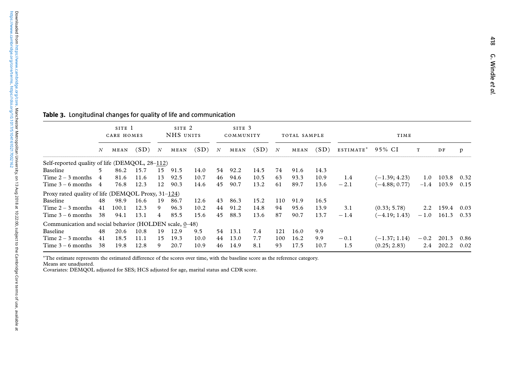|                                                        | SITE 1<br><b>CARE HOMES</b> |       |      | SITE $2$<br>NHS UNITS |      |      | SITE <sub>3</sub><br>COMMUNITY |      |      | TOTAL SAMPLE |      |      | TIME                  |                 |        |       |      |
|--------------------------------------------------------|-----------------------------|-------|------|-----------------------|------|------|--------------------------------|------|------|--------------|------|------|-----------------------|-----------------|--------|-------|------|
|                                                        | N                           | MEAN  | (SD) | $\boldsymbol{N}$      | MEAN | (SD) | $\boldsymbol{N}$               | MEAN | (SD) | N            | MEAN | (SD) | ESTIMATE <sup>*</sup> | 95% CI          | т      | DF    | p    |
| Self-reported quality of life (DEMQOL, 28–112)         |                             |       |      |                       |      |      |                                |      |      |              |      |      |                       |                 |        |       |      |
| <b>Baseline</b>                                        | 5                           | 86.2  | 15.7 | 15                    | 91.5 | 14.0 | 54                             | 92.2 | 14.5 | 74           | 91.6 | 14.3 |                       |                 |        |       |      |
| Time $2 - 3$ months 4                                  |                             | 81.6  | 11.6 | 13                    | 92.5 | 10.7 | 46                             | 94.6 | 10.5 | 63           | 93.3 | 10.9 | 1.4                   | $(-1.39; 4.23)$ | 1.0    | 103.8 | 0.32 |
| Time $3-6$ months $4$                                  |                             | 76.8  | 12.3 | 12                    | 90.3 | 14.6 | 45                             | 90.7 | 13.2 | 61           | 89.7 | 13.6 | $-2.1$                | $(-4.88; 0.77)$ | $-1.4$ | 103.9 | 0.15 |
| Proxy rated quality of life (DEMQOL Proxy, 31–124)     |                             |       |      |                       |      |      |                                |      |      |              |      |      |                       |                 |        |       |      |
| <b>Baseline</b>                                        | 48                          | 98.9  | 16.6 | 19                    | 86.7 | 12.6 | 43                             | 86.3 | 15.2 | 110          | 91.9 | 16.5 |                       |                 |        |       |      |
| Time $2-3$ months                                      | -41                         | 100.1 | 12.3 | 9                     | 96.3 | 10.2 | 44                             | 91.2 | 14.8 | 94           | 95.6 | 13.9 | 3.1                   | (0.33; 5.78)    | 2.2    | 159.4 | 0.03 |
| Time $3-6$ months                                      | -38                         | 94.1  | 13.1 | 4                     | 85.5 | 15.6 | 45                             | 88.3 | 13.6 | 87           | 90.7 | 13.7 | $-1.4$                | $(-4.19; 1.43)$ | $-1.0$ | 161.3 | 0.33 |
| Communication and social behavior (HOLDEN scale, 0–48) |                             |       |      |                       |      |      |                                |      |      |              |      |      |                       |                 |        |       |      |
| Baseline                                               | 48                          | 20.6  | 10.8 | 19                    | 12.9 | 9.5  | 54                             | 13.1 | 7.4  | 121          | 16.0 | 9.9  |                       |                 |        |       |      |
| Time $2-3$ months                                      | -41                         | 18.5  | 11.1 | 15                    | 19.3 | 10.0 | 44                             | 13.0 | 7.7  | 100          | 16.2 | 9.9  | $-0.1$                | $(-1.37; 1.14)$ | $-0.2$ | 201.3 | 0.86 |
| Time $3-6$ months                                      | -38                         | 19.8  | 12.8 | 9                     | 20.7 | 10.9 | 46                             | 14.9 | 8.1  | 93           | 17.5 | 10.7 | 1.5                   | (0.25; 2.83)    | 2.4    | 202.2 | 0.02 |

# <span id="page-10-0"></span>**Table 3.** Longitudinal changes for quality of life and communication

<sup>∗</sup>The estimate represents the estimated difference of the scores over time, with the baseline score as the reference category.

Means are unadjusted.

Covariates: DEMQOL adjusted for SES; HCS adjusted for age, marital status and CDR score.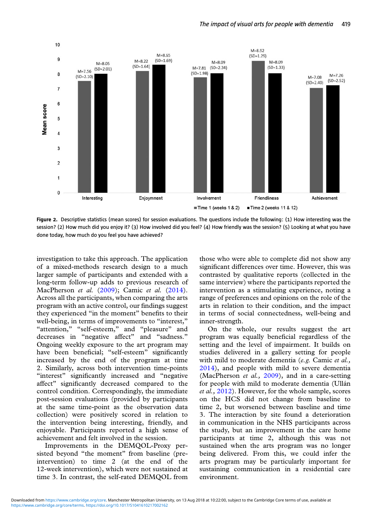<span id="page-11-0"></span>

**Figure 2.** Descriptive statistics (mean scores) for session evaluations. The questions include the following: (1) How interesting was the session? (2) How much did you enjoy it? (3) How involved did you feel? (4) How friendly was the session? (5) Looking at what you have done today, how much do you feel you have achieved?

investigation to take this approach. The application of a mixed-methods research design to a much larger sample of participants and extended with a long-term follow-up adds to previous research of MacPherson *et al.* [\(2009\)](#page-14-0); Camic *et al.* [\(2014\)](#page-14-0). Across all the participants, when comparing the arts program with an active control, our findings suggest they experienced "in the moment" benefits to their well-being, in terms of improvements to "interest," "attention," "self-esteem," and "pleasure" and decreases in "negative affect" and "sadness." Ongoing weekly exposure to the art program may have been beneficial; "self-esteem" significantly increased by the end of the program at time 2. Similarly, across both intervention time-points "interest" significantly increased and "negative affect" significantly decreased compared to the control condition. Correspondingly, the immediate post-session evaluations (provided by participants at the same time-point as the observation data collection) were positively scored in relation to the intervention being interesting, friendly, and enjoyable. Participants reported a high sense of achievement and felt involved in the session.

Improvements in the DEMQOL-Proxy persisted beyond "the moment" from baseline (preintervention) to time 2 (at the end of the 12-week intervention), which were not sustained at time 3. In contrast, the self-rated DEMQOL from

those who were able to complete did not show any significant differences over time. However, this was contrasted by qualitative reports (collected in the same interview) where the participants reported the intervention as a stimulating experience, noting a range of preferences and opinions on the role of the arts in relation to their condition, and the impact in terms of social connectedness, well-being and inner-strength.

On the whole, our results suggest the art program was equally beneficial regardless of the setting and the level of impairment. It builds on studies delivered in a gallery setting for people with mild to moderate dementia (*e.g.* Camic *et al.,* [2014\)](#page-14-0), and people with mild to severe dementia (MacPherson *et al.,* [2009\)](#page-14-0), and in a care-setting for people with mild to moderate dementia (Ullán *et al.,* [2012\)](#page-15-0). However, for the whole sample, scores on the HCS did not change from baseline to time 2, but worsened between baseline and time 3. The interaction by site found a deterioration in communication in the NHS participants across the study, but an improvement in the care home participants at time 2, although this was not sustained when the arts program was no longer being delivered. From this, we could infer the arts program may be particularly important for sustaining communication in a residential care environment.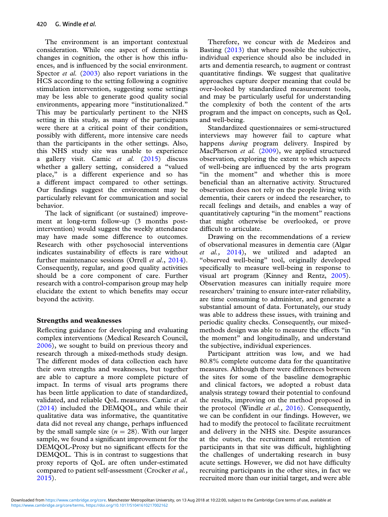The environment is an important contextual consideration. While one aspect of dementia is changes in cognition, the other is how this influences, and is influenced by the social environment. Spector *et al.* [\(2003\)](#page-15-0) also report variations in the HCS according to the setting following a cognitive stimulation intervention, suggesting some settings may be less able to generate good quality social environments, appearing more "institutionalized." This may be particularly pertinent to the NHS setting in this study, as many of the participants were there at a critical point of their condition, possibly with different, more intensive care needs than the participants in the other settings. Also, this NHS study site was unable to experience a gallery visit. Camic *et al.* [\(2015\)](#page-14-0) discuss whether a gallery setting, considered a "valued place," is a different experience and so has a different impact compared to other settings. Our findings suggest the environment may be particularly relevant for communication and social behavior.

The lack of significant (or sustained) improvement at long-term follow-up (3 months postintervention) would suggest the weekly attendance may have made some difference to outcomes. Research with other psychosocial interventions indicates sustainability of effects is rare without further maintenance sessions (Orrell *et al*., [2014\)](#page-15-0). Consequently, regular, and good quality activities should be a core component of care. Further research with a control-comparison group may help elucidate the extent to which benefits may occur beyond the activity.

## **Strengths and weaknesses**

Reflecting guidance for developing and evaluating complex interventions (Medical Research Council, [2006\)](#page-14-0), we sought to build on previous theory and research through a mixed-methods study design. The different modes of data collection each have their own strengths and weaknesses, but together are able to capture a more complete picture of impact. In terms of visual arts programs there has been little application to date of standardized, validated, and reliable QoL measures. Camic *et al.* [\(2014\)](#page-14-0) included the DEMQOL, and while their qualitative data was informative, the quantitative data did not reveal any change, perhaps influenced by the small sample size  $(n = 28)$ . With our larger sample, we found a significant improvement for the DEMQOL-Proxy but no significant effects for the DEMOOL. This is in contrast to suggestions that proxy reports of QoL are often under-estimated compared to patient self-assessment (Crocker *et al.,* [2015\)](#page-14-0).

Therefore, we concur with de Medeiros and Basting [\(2013\)](#page-14-0) that where possible the subjective, individual experience should also be included in arts and dementia research, to augment or contrast quantitative findings. We suggest that qualitative approaches capture deeper meaning that could be over-looked by standardized measurement tools, and may be particularly useful for understanding the complexity of both the content of the arts program and the impact on concepts, such as QoL and well-being.

Standardized questionnaires or semi-structured interviews may however fail to capture what happens *during* program delivery. Inspired by MacPherson *et al.* [\(2009\)](#page-14-0), we applied structured observation, exploring the extent to which aspects of well-being are influenced by the arts program "in the moment" and whether this is more beneficial than an alternative activity. Structured observation does not rely on the people living with dementia, their carers or indeed the researcher, to recall feelings and details, and enables a way of quantitatively capturing "in the moment" reactions that might otherwise be overlooked, or prove difficult to articulate.

Drawing on the recommendations of a review of observational measures in dementia care (Algar *et al.,* [2014\)](#page-14-0), we utilized and adapted an "observed well-being" tool, originally developed specifically to measure well-being in response to visual art program (Kinney and Rentz, [2005\)](#page-14-0). Observation measures can initially require more researchers' training to ensure inter-rater reliability, are time consuming to administer, and generate a substantial amount of data. Fortunately, our study was able to address these issues, with training and periodic quality checks. Consequently, our mixedmethods design was able to measure the effects "in the moment" and longitudinally, and understand the subjective, individual experiences.

Participant attrition was low, and we had 80.8% complete outcome data for the quantitative measures. Although there were differences between the sites for some of the baseline demographic and clinical factors, we adopted a robust data analysis strategy toward their potential to confound the results, improving on the method proposed in the protocol (Windle *et al.,* [2016\)](#page-15-0). Consequently, we can be confident in our findings. However, we had to modify the protocol to facilitate recruitment and delivery in the NHS site. Despite assurances at the outset, the recruitment and retention of participants in that site was difficult, highlighting the challenges of undertaking research in busy acute settings. However, we did not have difficulty recruiting participants in the other sites, in fact we recruited more than our initial target, and were able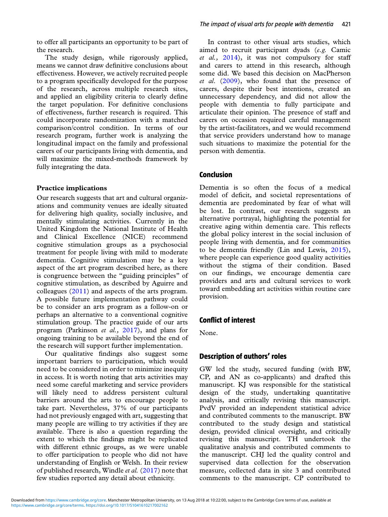to offer all participants an opportunity to be part of the research.

The study design, while rigorously applied, means we cannot draw definitive conclusions about effectiveness. However, we actively recruited people to a program specifically developed for the purpose of the research, across multiple research sites, and applied an eligibility criteria to clearly define the target population. For definitive conclusions of effectiveness, further research is required. This could incorporate randomization with a matched comparison/control condition. In terms of our research program, further work is analyzing the longitudinal impact on the family and professional carers of our participants living with dementia, and will maximize the mixed-methods framework by fully integrating the data.

#### **Practice implications**

Our research suggests that art and cultural organizations and community venues are ideally situated for delivering high quality, socially inclusive, and mentally stimulating activities. Currently in the United Kingdom the National Institute of Health and Clinical Excellence (NICE) recommend cognitive stimulation groups as a psychosocial treatment for people living with mild to moderate dementia. Cognitive stimulation may be a key aspect of the art program described here, as there is congruence between the "guiding principles" of cognitive stimulation, as described by Aguirre and colleagues [\(2011\)](#page-14-0) and aspects of the arts program. A possible future implementation pathway could be to consider an arts program as a follow-on or perhaps an alternative to a conventional cognitive stimulation group. The practice guide of our arts program (Parkinson *et al.,* [2017\)](#page-15-0), and plans for ongoing training to be available beyond the end of the research will support further implementation.

Our qualitative findings also suggest some important barriers to participation, which would need to be considered in order to minimize inequity in access. It is worth noting that arts activities may need some careful marketing and service providers will likely need to address persistent cultural barriers around the arts to encourage people to take part. Nevertheless, 37% of our participants had not previously engaged with art, suggesting that many people are willing to try activities if they are available. There is also a question regarding the extent to which the findings might be replicated with different ethnic groups, as we were unable to offer participation to people who did not have understanding of English or Welsh. In their review of published research, Windle *et al.* [\(2017\)](#page-15-0) note that few studies reported any detail about ethnicity.

In contrast to other visual arts studies, which aimed to recruit participant dyads (*e.g.* Camic *et al.,* [2014\)](#page-14-0), it was not compulsory for staff and carers to attend in this research, although some did. We based this decision on MacPherson *et al*. [\(2009\)](#page-14-0), who found that the presence of carers, despite their best intentions, created an unnecessary dependency, and did not allow the people with dementia to fully participate and articulate their opinion. The presence of staff and carers on occasion required careful management by the artist-facilitators, and we would recommend that service providers understand how to manage such situations to maximize the potential for the person with dementia.

## **Conclusion**

Dementia is so often the focus of a medical model of deficit, and societal representations of dementia are predominated by fear of what will be lost. In contrast, our research suggests an alternative portrayal, highlighting the potential for creative aging within dementia care. This reflects the global policy interest in the social inclusion of people living with dementia, and for communities to be dementia friendly (Lin and Lewis, [2015\)](#page-14-0), where people can experience good quality activities without the stigma of their condition. Based on our findings, we encourage dementia care providers and arts and cultural services to work toward embedding art activities within routine care provision.

## **Conflict of interest**

None.

## **Description of authors' roles**

GW led the study, secured funding (with BW, CP, and AN as co-applicants) and drafted this manuscript. KJ was responsible for the statistical design of the study, undertaking quantitative analysis, and critically revising this manuscript. PvdV provided an independent statistical advice and contributed comments to the manuscript. BW contributed to the study design and statistical design, provided clinical oversight, and critically revising this manuscript. TH undertook the qualitative analysis and contributed comments to the manuscript. CHJ led the quality control and supervised data collection for the observation measure, collected data in site 3 and contributed comments to the manuscript. CP contributed to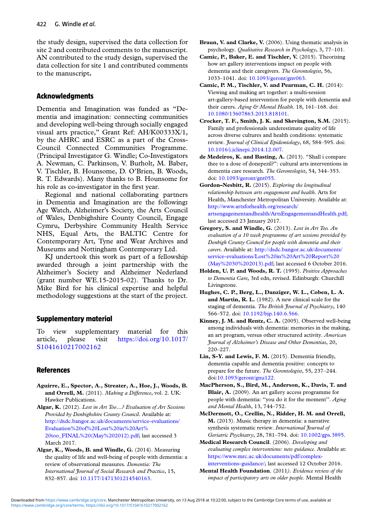<span id="page-14-0"></span>the study design, supervised the data collection for site 2 and contributed comments to the manuscript. AN contributed to the study design, supervised the data collection for site 1 and contributed comments to the manuscript**.**

## **Acknowledgments**

Dementia and Imagination was funded as "Dementia and imagination: connecting communities and developing well-being through socially engaged visual arts practice," Grant Ref: AH/K00333X/1, by the AHRC and ESRC as a part of the Cross-Council Connected Communities Programme. (Principal Investigator G. Windle; Co-Investigators A. Newman, C. Parkinson, V. Burholt, M. Baber, V. Tischler, B. Hounsome, D. O'Brien, B. Woods, R. T. Edwards). Many thanks to B. Hounsome for his role as co-investigator in the first year.

Regional and national collaborating partners in Dementia and Imagination are the following**:** Age Watch, Alzheimer's Society, the Arts Council of Wales, Denbighshire County Council, Engage Cymru, Derbyshire Community Health Service NHS, Equal Arts, the BALTIC Centre for Contemporary Art, Tyne and Wear Archives and Museums and Nottingham Contemporary Ltd.

KJ undertook this work as part of a fellowship awarded through a joint partnership with the Alzheimer's Society and Alzheimer Nederland (grant number WE.15-2015-02). Thanks to Dr. Mike Bird for his clinical expertise and helpful methodology suggestions at the start of the project.

## **Supplementary material**

To view supplementary material for this [article, please visit](https://doi.org/10.1017/S1041610217002162) https://doi.org/10.1017/ S1041610217002162

## **References**

- **Aguirre, E., Spector, A., Streater, A., Hoe, J., Woods, B. and Orrell, M.** (2011). *Making a Difference*, vol. 2. UK: Hawker Publications.
- **Algar, K.** (2012). *Lost in Art Too…? Evaluation of Art Sessions Provided by Denbighshire County Council*. Available at: [http://dsdc.bangor.ac.uk/documents/service-evaluations/](http://dsdc.bangor.ac.uk/documents/service-evaluations/Evaluation%20of%20Lost%20in%20Art%20too_FINAL%20(May%202012).pdf) Evaluation%20of%20Lost%20in%20Art% 20too\_FINAL%20(May%202012).pdf; last accessed 3 March 2017.
- **Algar, K., Woods, B. and Windle, G.** (2014). Measuring the quality of life and well-being of people with dementia: a review of observational measures. *Dementia: The International Journal of Social Research and Practice*, 15, 832–857. doi: [10.1177/1471301214540163.](https://doi.org/10.1177/1471301214540163)
- **Braun, V. and Clarke, V.** (2006). Using thematic analysis in psychology. *Qualitative Research in Psychology*, 3, 77–101.
- **Camic, P., Baker, E. and Tischler, V.** (2015). Theorizing how art gallery interventions impact on people with dementia and their caregivers. *The Gerontologist*, 56, 1033–1041. doi: [10.1093/geront/gnv063.](https://doi.org/10.1093/geront/gnv063)
- **Camic, P. M., Tischler, V. and Pearman, C. H.** (2014): Viewing and making art together: a multi-session art-gallery-based intervention for people with dementia and their carers. *Aging & Mental Health*. 18, 161–168. doi: [10.1080/13607863.2013.818101.](https://doi.org/10.1080/13607863.2013.818101)
- **Crocker, T. F., Smith, J. K. and Skevington, S.M.** (2015). Family and professionals underestimate quality of life across diverse cultures and health conditions: systematic review. *Journal of Clinical Epidemiology*, 68, 584–595. doi: [10.1016/j.jclinepi.2014.12.007.](https://doi.org/10.1016/j.jclinepi.2014.12.007)
- **de Medeiros, K. and Basting, A.** (2013). "Shall i compare thee to a dose of donepezil?": cultural arts interventions in dementia care research. *The Gerontologist*, 54, 344–353. doi: [10.1093/geront/gnt055.](https://doi.org/10.1093/geront/gnt055)
- **Gordon–Nesbitt, R.** (2015). *Exploring the longitudinal relationship between arts engagement and health*. Arts for Health, Manchester Metropolitan University. Available at: http://www.artsforhealth.org/research/ [artsengagementandhealth/ArtsEngagementandHealth.pdf;](http://www.artsforhealth.org/research/artsengagementandhealth/ArtsEngagementandHealth.pdf) last accessed 23 January 2017.
- **Gregory, S. and Windle, G.** (2013). *Lost in Art Too. An evaluation of a 10 week programme of art sessions provided by Denbigh County Council for people with dementia and their carers*. Available at: http://dsdc.bangor.ac.uk/documents/ service-evaluations/Lost%20in%20Art%20Report%20 [\(May%2030%202013\).pdf; last accessed 6 October 2016](http://dsdc.bangor.ac.uk/documents/service-evaluations/Lost%20in%20Art%20Report%20(May%2030%202013).pdf).
- **Holden, U. P. and Woods, R. T.** (1995). *Positive Approaches to Dementia Care*, 3rd edn, revised. Edinburgh: Churchill Livingstone.
- **Hughes, C. P., Berg, L., Danziger, W. L., Coben, L. A. and Martin, R. L.** (1982). A new clinical scale for the staging of dementia. *The British Journal of Psychiatry*, 140 566–572. doi: [10.1192/bjp.140.6.566.](https://doi.org/10.1192/bjp.140.6.566)
- **Kinney, J. M. and Rentz, C. A.** (2005). Observed well-being among individuals with dementia: memories in the making, an art program, versus other structured activity. *American Journal of Alzheimer's Disease and Other Dementias*, 20, 220–227.
- **Lin, S-Y. and Lewis, F. M.** (2015). Dementia friendly, dementia capable and dementia positive: concepts to prepare for the future. *The Gerontologist*, 55, 237–244. doi[:10.1093/geront/gnu122.](https://doi.org/10.1093/geront/gnu122)
- **MacPherson, S., Bird, M., Anderson, K., Davis, T. and Blair, A.** (2009). An art gallery access programme for people with dementia: ''you do it for the moment''. *Aging and Mental Health*, 13, 744–752.
- **McDermott, O., Crellin, N., Ridder, H. M. and Orrell, M.** (2013). Music therapy in dementia: a narrative synthesis systematic review. *International Journal of Geriatric Psychiatry*, 28, 781–794. doi: [10.1002/gps.3895.](https://doi.org/10.1002/gps.3895)
- **Medical Research Council**. (2006). *Developing and evaluating complex interventions: new guidance*. Available at: https://www.mrc.ac.uk/documents/pdf/complex[interventions-guidance/; last accessed 12 Octobe](https://www.mrc.ac.uk/documents/pdf/complex-interventions-guidance/)r 2016.
- **Mental Health Foundation**. (2011*). Evidence review of the impact of participatory arts on older people*. Mental Health